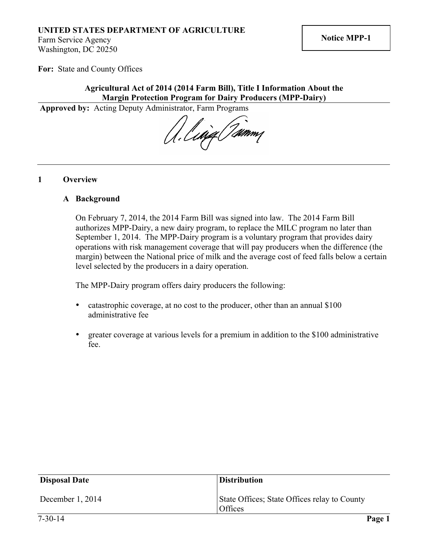# **UNITED STATES DEPARTMENT OF AGRICULTURE**

Farm Service Agency Washington, DC 20250

**For:** State and County Offices

# **Agricultural Act of 2014 (2014 Farm Bill), Title I Information About the Margin Protection Program for Dairy Producers (MPP-Dairy)**

**Approved by:** Acting Deputy Administrator, Farm Programs

A. Ling Timmy

#### **1 Overview**

#### **A Background**

On February 7, 2014, the 2014 Farm Bill was signed into law. The 2014 Farm Bill authorizes MPP-Dairy, a new dairy program, to replace the MILC program no later than September 1, 2014. The MPP-Dairy program is a voluntary program that provides dairy operations with risk management coverage that will pay producers when the difference (the margin) between the National price of milk and the average cost of feed falls below a certain level selected by the producers in a dairy operation.

The MPP-Dairy program offers dairy producers the following:

- catastrophic coverage, at no cost to the producer, other than an annual \$100 administrative fee
- greater coverage at various levels for a premium in addition to the \$100 administrative fee.

| <b>Disposal Date</b> | <b>Distribution</b>                                     |
|----------------------|---------------------------------------------------------|
| December 1, 2014     | State Offices; State Offices relay to County<br>Offices |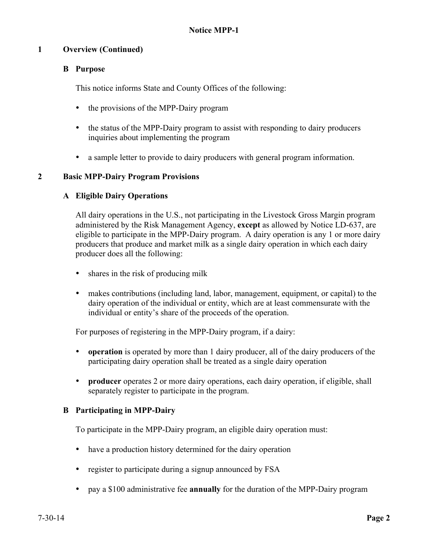# **1 Overview (Continued)**

# **B Purpose**

This notice informs State and County Offices of the following:

- the provisions of the MPP-Dairy program
- the status of the MPP-Dairy program to assist with responding to dairy producers inquiries about implementing the program
- a sample letter to provide to dairy producers with general program information.

# **2 Basic MPP-Dairy Program Provisions**

# **A Eligible Dairy Operations**

All dairy operations in the U.S., not participating in the Livestock Gross Margin program administered by the Risk Management Agency, **except** as allowed by Notice LD-637, are eligible to participate in the MPP-Dairy program. A dairy operation is any 1 or more dairy producers that produce and market milk as a single dairy operation in which each dairy producer does all the following:

- shares in the risk of producing milk
- makes contributions (including land, labor, management, equipment, or capital) to the dairy operation of the individual or entity, which are at least commensurate with the individual or entity's share of the proceeds of the operation.

For purposes of registering in the MPP-Dairy program, if a dairy:

- **operation** is operated by more than 1 dairy producer, all of the dairy producers of the participating dairy operation shall be treated as a single dairy operation
- **producer** operates 2 or more dairy operations, each dairy operation, if eligible, shall separately register to participate in the program.

# **B Participating in MPP-Dairy**

To participate in the MPP-Dairy program, an eligible dairy operation must:

- have a production history determined for the dairy operation
- register to participate during a signup announced by FSA
- pay a \$100 administrative fee **annually** for the duration of the MPP-Dairy program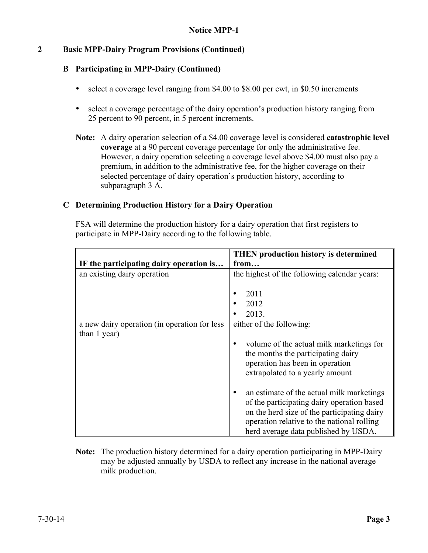# **2 Basic MPP-Dairy Program Provisions (Continued)**

### **B Participating in MPP-Dairy (Continued)**

- select a coverage level ranging from \$4.00 to \$8.00 per cwt, in \$0.50 increments
- select a coverage percentage of the dairy operation's production history ranging from 25 percent to 90 percent, in 5 percent increments.
- **Note:** A dairy operation selection of a \$4.00 coverage level is considered **catastrophic level coverage** at a 90 percent coverage percentage for only the administrative fee. However, a dairy operation selecting a coverage level above \$4.00 must also pay a premium, in addition to the administrative fee, for the higher coverage on their selected percentage of dairy operation's production history, according to subparagraph 3 A.

#### **C Determining Production History for a Dairy Operation**

FSA will determine the production history for a dairy operation that first registers to participate in MPP-Dairy according to the following table.

|                                              | <b>THEN</b> production history is determined                                                                                                                                                                                 |  |
|----------------------------------------------|------------------------------------------------------------------------------------------------------------------------------------------------------------------------------------------------------------------------------|--|
| IF the participating dairy operation is      | from                                                                                                                                                                                                                         |  |
| an existing dairy operation                  | the highest of the following calendar years:                                                                                                                                                                                 |  |
|                                              |                                                                                                                                                                                                                              |  |
|                                              | 2011                                                                                                                                                                                                                         |  |
|                                              | 2012                                                                                                                                                                                                                         |  |
|                                              | 2013.                                                                                                                                                                                                                        |  |
| a new dairy operation (in operation for less | either of the following:                                                                                                                                                                                                     |  |
| than 1 year)                                 |                                                                                                                                                                                                                              |  |
|                                              | volume of the actual milk marketings for<br>٠<br>the months the participating dairy<br>operation has been in operation<br>extrapolated to a yearly amount                                                                    |  |
|                                              | an estimate of the actual milk marketings<br>of the participating dairy operation based<br>on the herd size of the participating dairy<br>operation relative to the national rolling<br>herd average data published by USDA. |  |

**Note:** The production history determined for a dairy operation participating in MPP-Dairy may be adjusted annually by USDA to reflect any increase in the national average milk production.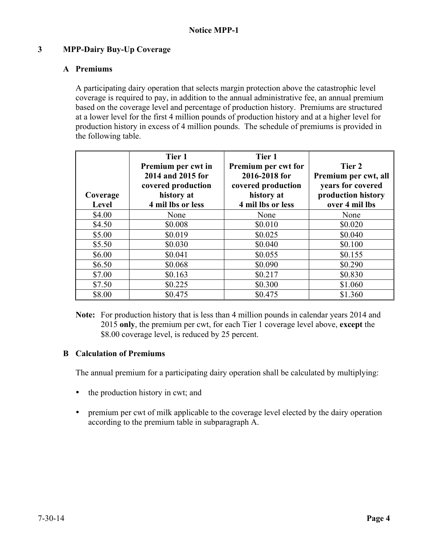# **3 MPP-Dairy Buy-Up Coverage**

# **A Premiums**

A participating dairy operation that selects margin protection above the catastrophic level coverage is required to pay, in addition to the annual administrative fee, an annual premium based on the coverage level and percentage of production history. Premiums are structured at a lower level for the first 4 million pounds of production history and at a higher level for production history in excess of 4 million pounds. The schedule of premiums is provided in the following table.

| Coverage<br>Level | Tier 1<br>Premium per cwt in<br>2014 and 2015 for<br>covered production<br>history at<br>4 mil lbs or less | Tier 1<br>Premium per cwt for<br>2016-2018 for<br>covered production<br>history at<br>4 mil lbs or less | Tier 2<br>Premium per cwt, all<br>years for covered<br>production history<br>over 4 mil lbs |
|-------------------|------------------------------------------------------------------------------------------------------------|---------------------------------------------------------------------------------------------------------|---------------------------------------------------------------------------------------------|
| \$4.00            | None                                                                                                       | None                                                                                                    | None                                                                                        |
| \$4.50            | \$0.008                                                                                                    | \$0.010                                                                                                 | \$0.020                                                                                     |
| \$5.00            | \$0.019                                                                                                    | \$0.025                                                                                                 | \$0.040                                                                                     |
| \$5.50            | \$0.030                                                                                                    | \$0.040                                                                                                 | \$0.100                                                                                     |
| \$6.00            | \$0.041                                                                                                    | \$0.055                                                                                                 | \$0.155                                                                                     |
| \$6.50            | \$0.068                                                                                                    | \$0.090                                                                                                 | \$0.290                                                                                     |
| \$7.00            | \$0.163                                                                                                    | \$0.217                                                                                                 | \$0.830                                                                                     |
| \$7.50            | \$0.225                                                                                                    | \$0.300                                                                                                 | \$1.060                                                                                     |
| \$8.00            | \$0.475                                                                                                    | \$0.475                                                                                                 | \$1.360                                                                                     |

**Note:** For production history that is less than 4 million pounds in calendar years 2014 and 2015 **only**, the premium per cwt, for each Tier 1 coverage level above, **except** the \$8.00 coverage level, is reduced by 25 percent.

# **B Calculation of Premiums**

The annual premium for a participating dairy operation shall be calculated by multiplying:

- the production history in cwt; and
- premium per cwt of milk applicable to the coverage level elected by the dairy operation according to the premium table in subparagraph A.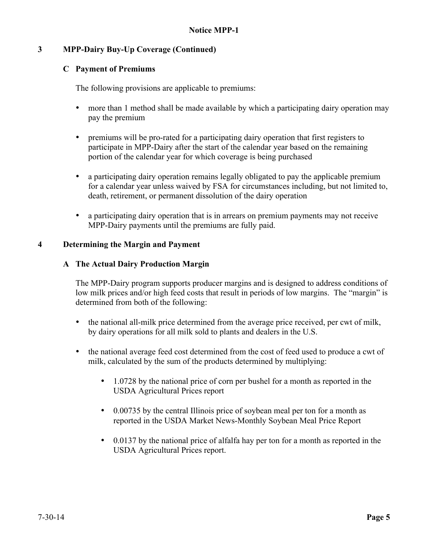# **3 MPP-Dairy Buy-Up Coverage (Continued)**

### **C Payment of Premiums**

The following provisions are applicable to premiums:

- more than 1 method shall be made available by which a participating dairy operation may pay the premium
- premiums will be pro-rated for a participating dairy operation that first registers to participate in MPP-Dairy after the start of the calendar year based on the remaining portion of the calendar year for which coverage is being purchased
- a participating dairy operation remains legally obligated to pay the applicable premium for a calendar year unless waived by FSA for circumstances including, but not limited to, death, retirement, or permanent dissolution of the dairy operation
- a participating dairy operation that is in arrears on premium payments may not receive MPP-Dairy payments until the premiums are fully paid.

#### **4 Determining the Margin and Payment**

#### **A The Actual Dairy Production Margin**

The MPP-Dairy program supports producer margins and is designed to address conditions of low milk prices and/or high feed costs that result in periods of low margins. The "margin" is determined from both of the following:

- the national all-milk price determined from the average price received, per cwt of milk, by dairy operations for all milk sold to plants and dealers in the U.S.
- the national average feed cost determined from the cost of feed used to produce a cwt of milk, calculated by the sum of the products determined by multiplying:
	- 1.0728 by the national price of corn per bushel for a month as reported in the USDA Agricultural Prices report
	- 0.00735 by the central Illinois price of soybean meal per ton for a month as reported in the USDA Market News-Monthly Soybean Meal Price Report
	- 0.0137 by the national price of alfalfa hay per ton for a month as reported in the USDA Agricultural Prices report.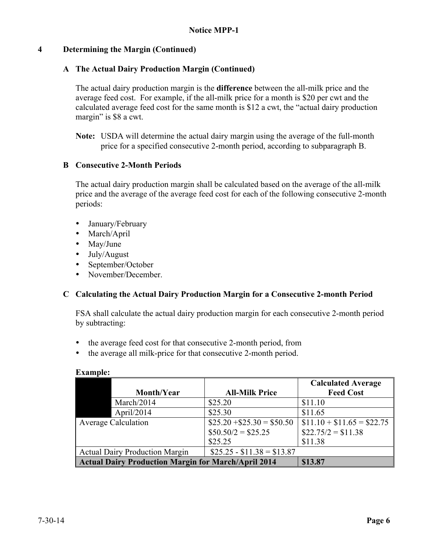# **4 Determining the Margin (Continued)**

# **A The Actual Dairy Production Margin (Continued)**

The actual dairy production margin is the **difference** between the all-milk price and the average feed cost. For example, if the all-milk price for a month is \$20 per cwt and the calculated average feed cost for the same month is \$12 a cwt, the "actual dairy production margin" is \$8 a cwt.

**Note:** USDA will determine the actual dairy margin using the average of the full-month price for a specified consecutive 2-month period, according to subparagraph B.

# **B Consecutive 2-Month Periods**

The actual dairy production margin shall be calculated based on the average of the all-milk price and the average of the average feed cost for each of the following consecutive 2-month periods:

- January/February
- March/April
- May/June
- July/August
- September/October
- November/December

# **C Calculating the Actual Dairy Production Margin for a Consecutive 2-month Period**

FSA shall calculate the actual dairy production margin for each consecutive 2-month period by subtracting:

- the average feed cost for that consecutive 2-month period, from
- the average all milk-price for that consecutive 2-month period.

|                                                            |                            | <b>Calculated Average</b>  |
|------------------------------------------------------------|----------------------------|----------------------------|
| Month/Year                                                 | <b>All-Milk Price</b>      | <b>Feed Cost</b>           |
| March/2014                                                 | \$25.20                    | \$11.10                    |
| April $/2014$                                              | \$25.30                    | \$11.65                    |
| <b>Average Calculation</b>                                 | $$25.20 + $25.30 = $50.50$ | $$11.10 + $11.65 = $22.75$ |
|                                                            | $$50.50/2 = $25.25$        | $$22.75/2 = $11.38$        |
|                                                            | \$25.25                    | \$11.38                    |
| <b>Actual Dairy Production Margin</b>                      | $$25.25 - $11.38 = $13.87$ |                            |
| <b>Actual Dairy Production Margin for March/April 2014</b> |                            | \$13.87                    |

#### **Example:**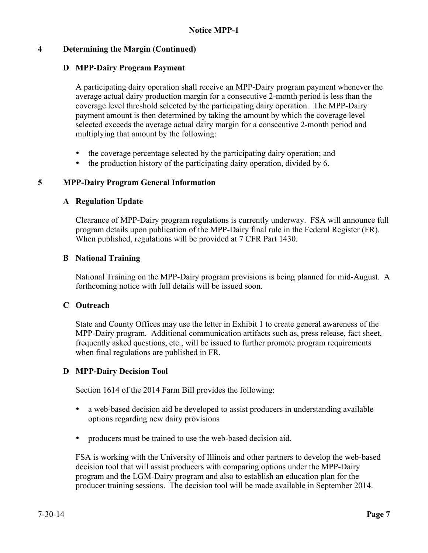# **4 Determining the Margin (Continued)**

# **D MPP-Dairy Program Payment**

A participating dairy operation shall receive an MPP-Dairy program payment whenever the average actual dairy production margin for a consecutive 2-month period is less than the coverage level threshold selected by the participating dairy operation. The MPP-Dairy payment amount is then determined by taking the amount by which the coverage level selected exceeds the average actual dairy margin for a consecutive 2-month period and multiplying that amount by the following:

- the coverage percentage selected by the participating dairy operation; and
- the production history of the participating dairy operation, divided by 6.

# **5 MPP-Dairy Program General Information**

#### **A Regulation Update**

Clearance of MPP-Dairy program regulations is currently underway. FSA will announce full program details upon publication of the MPP-Dairy final rule in the Federal Register (FR). When published, regulations will be provided at 7 CFR Part 1430.

#### **B National Training**

National Training on the MPP-Dairy program provisions is being planned for mid-August. A forthcoming notice with full details will be issued soon.

# **C Outreach**

State and County Offices may use the letter in Exhibit 1 to create general awareness of the MPP-Dairy program. Additional communication artifacts such as, press release, fact sheet, frequently asked questions, etc., will be issued to further promote program requirements when final regulations are published in FR.

# **D MPP-Dairy Decision Tool**

Section 1614 of the 2014 Farm Bill provides the following:

- a web-based decision aid be developed to assist producers in understanding available options regarding new dairy provisions
- producers must be trained to use the web-based decision aid.

FSA is working with the University of Illinois and other partners to develop the web-based decision tool that will assist producers with comparing options under the MPP-Dairy program and the LGM-Dairy program and also to establish an education plan for the producer training sessions. The decision tool will be made available in September 2014.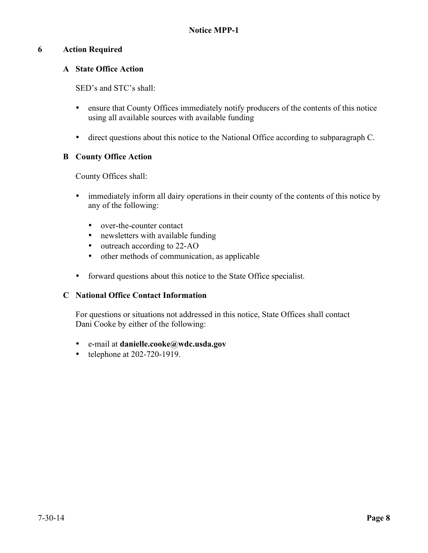# **6 Action Required**

# **A State Office Action**

SED's and STC's shall:

- ensure that County Offices immediately notify producers of the contents of this notice using all available sources with available funding
- direct questions about this notice to the National Office according to subparagraph C.

# **B County Office Action**

County Offices shall:

- immediately inform all dairy operations in their county of the contents of this notice by any of the following:
	- over-the-counter contact
	- newsletters with available funding
	- outreach according to 22-AO
	- other methods of communication, as applicable
- forward questions about this notice to the State Office specialist.

# **C National Office Contact Information**

For questions or situations not addressed in this notice, State Offices shall contact Dani Cooke by either of the following:

- e-mail at **danielle.cooke@wdc.usda.gov**
- telephone at 202-720-1919.